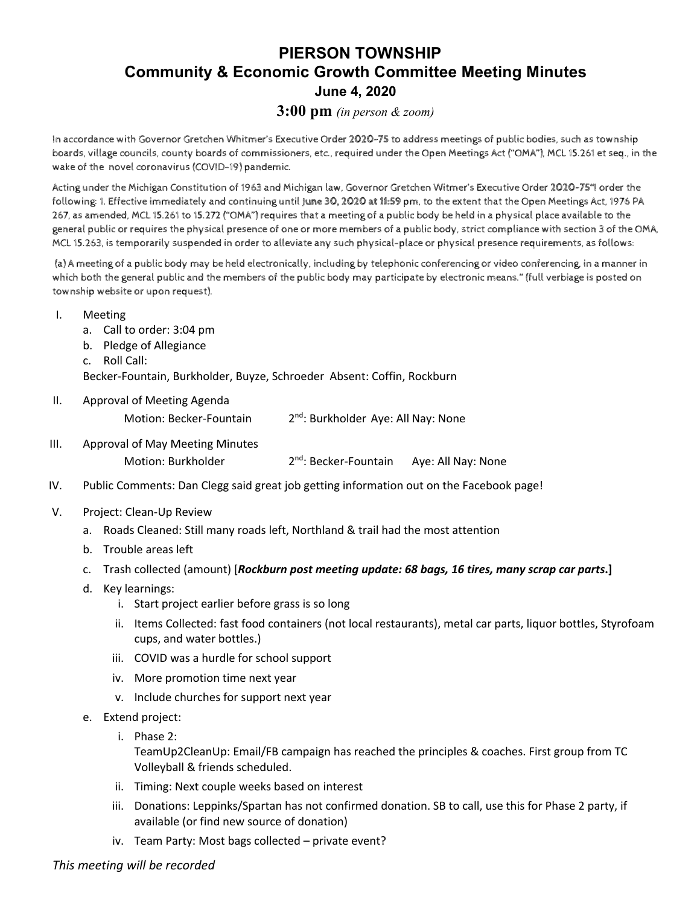## **PIERSON TOWNSHIP Community & Economic Growth Committee Meeting Minutes June 4, 2020**

## **3:00 pm** *(in person & zoom)*

In accordance with Governor Gretchen Whitmer's Executive Order **2020-75** to address meetings of public bodies, such as township boards, village councils, county boards of commissioners, etc., required under the Open Meetings Act ("OMA"), MCL 15.261 et seq., in the wake of the novel coronavirus (COVID-19) pandemic.

Acting under the Michigan Constitution of 1963 and Michigan law, Governor Gretchen Witmer's Executive Order **2020-75"**I order the following: 1. Effective immediately and continuing until **June 30, 2020 at 11:59** pm, to the extent that the Open Meetings Act, 1976 PA 267, as amended, MCL 15.261 to 15.272 ("OMA") requires that a meeting of a public body be held in a physical place available to the general public or requires the physical presence of one or more members of a public body, strict compliance with section 3 of the OMA, MCL 15.263, is temporarily suspended in order to alleviate any such physical-place or physical presence requirements, as follows:

(a) A meeting of a public body may be held electronically, including by telephonic conferencing or video conferencing, in a manner in which both the general public and the members of the public body may participate by electronic means." (full verbiage is posted on township website or upon request).

- I. Meeting
	- a. Call to order: 3:04 pm
	- b. Pledge of Allegiance
	- c. Roll Call:

Becker-Fountain, Burkholder, Buyze, Schroeder Absent: Coffin, Rockburn

II. Approval of Meeting Agenda

| Motion: Becker-Fountain | 2 <sup>nd</sup> : Burkholder Aye: All Nay: None |
|-------------------------|-------------------------------------------------|
|-------------------------|-------------------------------------------------|

- III. Approval of May Meeting Minutes Motion: Burkholder 2<sup>nd</sup>: Becker-Fountain Aye: All Nay: None
- IV. Public Comments: Dan Clegg said great job getting information out on the Facebook page!
- V. Project: Clean-Up Review
	- a. Roads Cleaned: Still many roads left, Northland & trail had the most attention
	- b. Trouble areas left
	- c. Trash collected (amount) [*Rockburn post meeting update: 68 bags, 16 tires, many scrap car parts***.]**
	- d. Key learnings:
		- i. Start project earlier before grass is so long
		- ii. Items Collected: fast food containers (not local restaurants), metal car parts, liquor bottles, Styrofoam cups, and water bottles.)
		- iii. COVID was a hurdle for school support
		- iv. More promotion time next year
		- v. Include churches for support next year
	- e. Extend project:
		- i. Phase 2:

TeamUp2CleanUp: Email/FB campaign has reached the principles & coaches. First group from TC Volleyball & friends scheduled.

- ii. Timing: Next couple weeks based on interest
- iii. Donations: Leppinks/Spartan has not confirmed donation. SB to call, use this for Phase 2 party, if available (or find new source of donation)
- iv. Team Party: Most bags collected private event?

## *This meeting will be recorded*